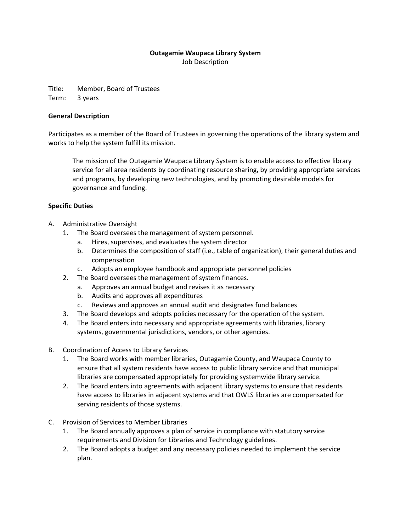# **Outagamie Waupaca Library System**

Job Description

Title: Member, Board of Trustees Term: 3 years

# **General Description**

Participates as a member of the Board of Trustees in governing the operations of the library system and works to help the system fulfill its mission.

The mission of the Outagamie Waupaca Library System is to enable access to effective library service for all area residents by coordinating resource sharing, by providing appropriate services and programs, by developing new technologies, and by promoting desirable models for governance and funding.

# **Specific Duties**

- A. Administrative Oversight
	- 1. The Board oversees the management of system personnel.
		- a. Hires, supervises, and evaluates the system director
		- b. Determines the composition of staff (i.e., table of organization), their general duties and compensation
		- c. Adopts an employee handbook and appropriate personnel policies
	- 2. The Board oversees the management of system finances.
		- a. Approves an annual budget and revises it as necessary
		- b. Audits and approves all expenditures
		- c. Reviews and approves an annual audit and designates fund balances
	- 3. The Board develops and adopts policies necessary for the operation of the system.
	- 4. The Board enters into necessary and appropriate agreements with libraries, library systems, governmental jurisdictions, vendors, or other agencies.
- B. Coordination of Access to Library Services
	- 1. The Board works with member libraries, Outagamie County, and Waupaca County to ensure that all system residents have access to public library service and that municipal libraries are compensated appropriately for providing systemwide library service.
	- 2. The Board enters into agreements with adjacent library systems to ensure that residents have access to libraries in adjacent systems and that OWLS libraries are compensated for serving residents of those systems.
- C. Provision of Services to Member Libraries
	- 1. The Board annually approves a plan of service in compliance with statutory service requirements and Division for Libraries and Technology guidelines.
	- 2. The Board adopts a budget and any necessary policies needed to implement the service plan.